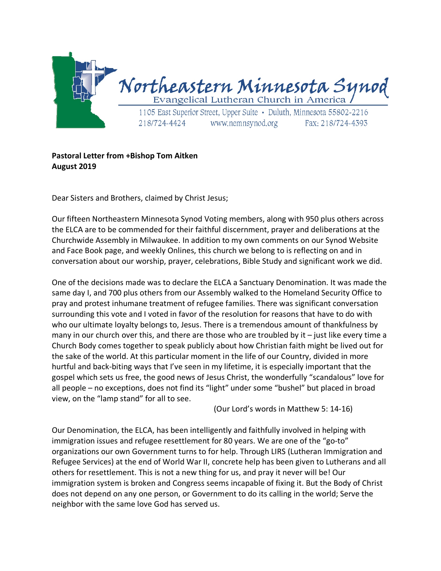

## **Pastoral Letter from +Bishop Tom Aitken August 2019**

Dear Sisters and Brothers, claimed by Christ Jesus;

Our fifteen Northeastern Minnesota Synod Voting members, along with 950 plus others across the ELCA are to be commended for their faithful discernment, prayer and deliberations at the Churchwide Assembly in Milwaukee. In addition to my own comments on our Synod Website and Face Book page, and weekly Onlines, this church we belong to is reflecting on and in conversation about our worship, prayer, celebrations, Bible Study and significant work we did.

One of the decisions made was to declare the ELCA a Sanctuary Denomination. It was made the same day I, and 700 plus others from our Assembly walked to the Homeland Security Office to pray and protest inhumane treatment of refugee families. There was significant conversation surrounding this vote and I voted in favor of the resolution for reasons that have to do with who our ultimate loyalty belongs to, Jesus. There is a tremendous amount of thankfulness by many in our church over this, and there are those who are troubled by it  $-$  just like every time a Church Body comes together to speak publicly about how Christian faith might be lived out for the sake of the world. At this particular moment in the life of our Country, divided in more hurtful and back-biting ways that I've seen in my lifetime, it is especially important that the gospel which sets us free, the good news of Jesus Christ, the wonderfully "scandalous" love for all people – no exceptions, does not find its "light" under some "bushel" but placed in broad view, on the "lamp stand" for all to see.

(Our Lord's words in Matthew 5: 14-16)

Our Denomination, the ELCA, has been intelligently and faithfully involved in helping with immigration issues and refugee resettlement for 80 years. We are one of the "go-to" organizations our own Government turns to for help. Through LIRS (Lutheran Immigration and Refugee Services) at the end of World War II, concrete help has been given to Lutherans and all others for resettlement. This is not a new thing for us, and pray it never will be! Our immigration system is broken and Congress seems incapable of fixing it. But the Body of Christ does not depend on any one person, or Government to do its calling in the world; Serve the neighbor with the same love God has served us.